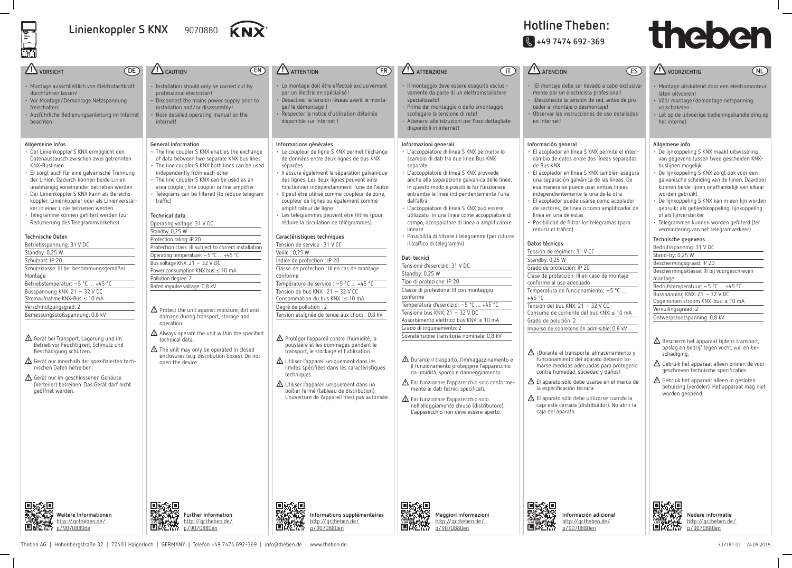## Linienkoppler S KNX 9070880



## **Hotline Theben: J +49 7474 692-369**

- $\Lambda$  Bescherm het apparaat tijdens transport, opslag en bedrijf tegen vocht, vuil en beschadiging.
- $\triangle$  Gebruik het apparaat alleen binnen de voorgeschreven technische specificaties.
- $\Delta$  Gebruik het apparaat alleen in gesloten behuizing (verdeler). Het apparaat mag niet worden geopend.



| الساحف                                                                                                                                                                                                                                                                                                                                                                                                                                                                                                                                                                                                                                                                                                                                                                                                                                                                                                                                                                                                                                                                                                                        |                                                                                                                                                                                                                                                                                                                                                                                                                                                                                                                                                                                                                                                                                                                                                                                                                                                                                                                                                                                                                                   |                                                                                                                                                                                                                                                                                                                                                                                                                                                                                                                                                                                                                                                                                                                                                                                                                                                                                                                                                                                                                                                                                                                                                                                                                                                                                    |                                                                                                                                                                                                                                                                                                                                                                                                                                                                                                                                                                                                                                                                                                                                                                                                                                                                                                                                                                                                                                                                                                                                                                                                                                                                                                                    |                                                                                                                                                                                                                                                                                                                                                                                                                                                                                                                                                                                                                                                                                                                                                                                                         |
|-------------------------------------------------------------------------------------------------------------------------------------------------------------------------------------------------------------------------------------------------------------------------------------------------------------------------------------------------------------------------------------------------------------------------------------------------------------------------------------------------------------------------------------------------------------------------------------------------------------------------------------------------------------------------------------------------------------------------------------------------------------------------------------------------------------------------------------------------------------------------------------------------------------------------------------------------------------------------------------------------------------------------------------------------------------------------------------------------------------------------------|-----------------------------------------------------------------------------------------------------------------------------------------------------------------------------------------------------------------------------------------------------------------------------------------------------------------------------------------------------------------------------------------------------------------------------------------------------------------------------------------------------------------------------------------------------------------------------------------------------------------------------------------------------------------------------------------------------------------------------------------------------------------------------------------------------------------------------------------------------------------------------------------------------------------------------------------------------------------------------------------------------------------------------------|------------------------------------------------------------------------------------------------------------------------------------------------------------------------------------------------------------------------------------------------------------------------------------------------------------------------------------------------------------------------------------------------------------------------------------------------------------------------------------------------------------------------------------------------------------------------------------------------------------------------------------------------------------------------------------------------------------------------------------------------------------------------------------------------------------------------------------------------------------------------------------------------------------------------------------------------------------------------------------------------------------------------------------------------------------------------------------------------------------------------------------------------------------------------------------------------------------------------------------------------------------------------------------|--------------------------------------------------------------------------------------------------------------------------------------------------------------------------------------------------------------------------------------------------------------------------------------------------------------------------------------------------------------------------------------------------------------------------------------------------------------------------------------------------------------------------------------------------------------------------------------------------------------------------------------------------------------------------------------------------------------------------------------------------------------------------------------------------------------------------------------------------------------------------------------------------------------------------------------------------------------------------------------------------------------------------------------------------------------------------------------------------------------------------------------------------------------------------------------------------------------------------------------------------------------------------------------------------------------------|---------------------------------------------------------------------------------------------------------------------------------------------------------------------------------------------------------------------------------------------------------------------------------------------------------------------------------------------------------------------------------------------------------------------------------------------------------------------------------------------------------------------------------------------------------------------------------------------------------------------------------------------------------------------------------------------------------------------------------------------------------------------------------------------------------|
| VORSICHT<br>$[$ DE $]$                                                                                                                                                                                                                                                                                                                                                                                                                                                                                                                                                                                                                                                                                                                                                                                                                                                                                                                                                                                                                                                                                                        | EN)<br><b>L'S</b> CAUTION                                                                                                                                                                                                                                                                                                                                                                                                                                                                                                                                                                                                                                                                                                                                                                                                                                                                                                                                                                                                         | <b>ATTENTION</b><br>(FR)                                                                                                                                                                                                                                                                                                                                                                                                                                                                                                                                                                                                                                                                                                                                                                                                                                                                                                                                                                                                                                                                                                                                                                                                                                                           | $\sqrt{1}$<br><b>ATTENZIONE</b>                                                                                                                                                                                                                                                                                                                                                                                                                                                                                                                                                                                                                                                                                                                                                                                                                                                                                                                                                                                                                                                                                                                                                                                                                                                                                    | <b>ZI ATENCIÓN</b>                                                                                                                                                                                                                                                                                                                                                                                                                                                                                                                                                                                                                                                                                                                                                                                      |
| · Montage ausschließlich von Elektrofachkraft<br>durchführen lassen!<br>· Vor Montage/Demontage Netzspannung<br>freischalten!<br>· Ausführliche Bedienungsanleitung im Internet<br>beachten!                                                                                                                                                                                                                                                                                                                                                                                                                                                                                                                                                                                                                                                                                                                                                                                                                                                                                                                                  | · Installation should only be carried out by<br>professional electrician!<br>• Disconnect the mains power supply prior to<br>installation and/or disassembly!<br>• Note detailed operating manual on the<br>internet!                                                                                                                                                                                                                                                                                                                                                                                                                                                                                                                                                                                                                                                                                                                                                                                                             | · Le montage doit être effectué exclusivement<br>par un électricien spécialisé!<br>· Désactiver la tension réseau avant le monta-<br>qe/le démontage !<br>· Respecter la notice d'utilisation détaillée<br>disponible sur Internet !                                                                                                                                                                                                                                                                                                                                                                                                                                                                                                                                                                                                                                                                                                                                                                                                                                                                                                                                                                                                                                               | · Il montaggio deve essere eseguito esclusi-<br>vamente da parte di un elettroinstallatore<br>specializzato!<br>· Prima del montaggio o dello smontaggio<br>scollegare la tensione di rete!<br>· Attenersi alle istruzioni per l'uso dettagliate<br>disponibili in internet!                                                                                                                                                                                                                                                                                                                                                                                                                                                                                                                                                                                                                                                                                                                                                                                                                                                                                                                                                                                                                                       | · ¡El montaje debe s<br>mente por un elect<br>· ¡Desconecte la ten<br>ceder al montaje o<br>Observar las instru<br>en Internet!                                                                                                                                                                                                                                                                                                                                                                                                                                                                                                                                                                                                                                                                         |
| Allgemeine Infos<br>Der Linienkoppler S KNX ermöglicht den<br>Datenaustausch zwischen zwei getrennten<br>KNX-Buslinien<br>Er sorgt auch für eine galvanische Trennung<br>der Linien. Dadurch können beide Linien<br>unabhängig voneinander betrieben werden<br>Der Linienkoppler S KNX kann als Bereichs-<br>koppler, Linienkoppler oder als Linienverstär-<br>ker in einer Linie betrieben werden<br>Telegramme können gefiltert werden (zur<br>Reduzierung des Telegrammverkehrs)<br>Technische Daten<br>Betriebsspannung: 31 V DC<br>Standby: 0,25 W<br>Schutzart: IP 20<br>Schutzklasse: III bei bestimmungsgemäßer<br>Montage<br>Betriebstemperatur: -5 °C  +45 °C<br>Busspannung KNX: 21 - 32 V DC<br>Stromaufnahme KNX-Bus: ≤ 10 mA<br>Verschmutzungsgrad: 2<br>Bemessungsstoßspannung: 0,8 kV<br>$\Lambda$ Gerät bei Transport, Lagerung und im<br>Betrieb vor Feuchtigkeit, Schmutz und<br>Beschädigung schützen.<br>$\triangle$ Gerät nur innerhalb der spezifizierten tech-<br>nischen Daten betreiben.<br>△ Gerät nur im geschlossenen Gehäuse<br>(Verteiler) betreiben. Das Gerät darf nicht<br>geöffnet werden. | General information<br>• The line coupler S KNX enables the exchange<br>of data between two separate KNX bus lines<br>• The line coupler S KNX both lines can be used<br>independently from each other<br>• The line coupler S KNX can be used as an<br>area coupler, line coupler or line amplifier<br>· Telegrams can be filtered (to reduce telegram<br>traffic)<br><b>Technical data</b><br>Operating voltage: 31 V DC<br>Standby: 0,25 W<br>Protection rating: IP 20<br>Protection class: III subject to correct installation<br>Operating temperature: -5 °C  +45 °C<br>Bus voltage KNX: 21 - 32 V DC<br>Power consumption KNX bus: ≤ 10 mA<br>Pollution degree: 2<br>Rated impulse voltage: 0,8 kV<br>$\triangle$ Protect the unit against moisture, dirt and<br>damage during transport, storage and<br>operation.<br>$\Delta$ Always operate the unit within the specified<br>technical data.<br>$\triangle$ The unit may only be operated in closed<br>enclosures (e.g. distribution boxes). Do not<br>open the device. | Informations générales<br>· Le coupleur de ligne S KNX permet l'échange<br>de données entre deux lignes de bus KNX<br>séparées<br>· Il assure également la séparation galvanique<br>des lignes. Les deux lignes peuvent ainsi<br>fonctionner indépendamment l'une de l'autre<br>· Il peut être utilisé comme coupleur de zone,<br>coupleur de lignes ou également comme<br>amplificateur de ligne<br>· Les télégrammes peuvent être filtrés (pour<br>réduire la circulation de télégrammes)<br>Caractéristiques techniques<br>Tension de service : 31 V CC<br>Veille: 0,25 W<br>Indice de protection : IP 20<br>Classe de protection : III en cas de montage<br>conforme<br>Température de service : -5 °C  +45 °C<br>Tension de bus KNX: 21 - 32 V CC<br>Consommation du bus KNX : ≤ 10 mA<br>Degré de pollution : 2<br>Tension assignée de tenue aux chocs : 0,8 kV<br>△ Protéger l'appareil contre l'humidité, la<br>poussière et les dommages pendant le<br>transport, le stockage et l'utilisation.<br>$\triangle$ Utiliser l'appareil uniquement dans les<br>limites spécifiées dans les caractéristiques<br>techniques.<br>$\triangle$ Utiliser l'appareil uniquement dans un<br>boîtier fermé (tableau de distribution).<br>L'ouverture de l'appareil n'est pas autorisée. | Informazioni generali<br>· L'accoppiatore di linea S KNX permette lo<br>scambio di dati tra due linee Bus KNX<br>separate<br>· L'accoppiatore di linea S KNX provvede<br>anche alla separazione galvanica delle linee.<br>In questo modo è possibile far funzionare<br>entrambe le linee indipendentemente l'una<br>dall'altra<br>· L'accoppiatore di linea S KNX può essere<br>utilizzato in una linea come accoppiatore di<br>campo, accoppiatore di linea o amplificatore<br>lineare<br>· Possibilità di filtrare i telegrammi (per ridurre<br>il traffico di telegrammi)<br>Dati tecnici<br>Tensione d'esercizio: 31 V DC<br>Standby: 0,25 W<br>Tipo di protezione: IP 20<br>Classe di protezione: Ill con montaggio<br>conforme<br>Temperatura d'esercizio: -5 °C  +45 °C<br>Tensione bus KNX: 21 - 32 V DC<br>Assorbimento elettrico bus KNX: ≤ 10 mA<br>Grado di inquinamento: 2<br>Sovratensione transitoria nominale: 0,8 kV<br>△ Durante il trasporto, l'immagazzinamento e<br>il funzionamento proteggere l'apparecchio<br>da umidità, sporco e danneggiamento.<br>$\triangle$ Far funzionare l'apparecchio solo conforme-<br>mente ai dati tecnici specificati.<br>$\triangle$ Far funzionare l'apparecchio solo<br>nell'alloggiamento chiuso (distributore).<br>L'apparecchio non deve essere aperto. | Información general<br>· El acoplador en líno<br>cambio de datos er<br>de Bus KNX<br>· El acoplador en líno<br>una separación gal<br>esa manera se pue<br>independientemen<br>El acoplador puede<br>de sectores, de líne<br>línea en una de ésl<br>Posibilidad de filtra<br>reducir el tráfico)<br>Datos técnicos<br>Tensión de régimen:<br>Standby: 0,25 W<br>Grado de protección:<br>Clase de protección: I<br>conforme al uso aded<br>Temperatura de funci<br>$+45 °C$<br>Tensión del bus KNX:<br>Consumo de corriente<br>Grado de polución: 2<br>Impulso de sobretens<br>$\Lambda$ ¡Durante el trans<br>funcionamiento d<br>marse medidas a<br>contra humedad,<br>$\triangle$ El aparato sólo de<br>la especificación l<br>$\triangle$ El aparato sólo de<br>caja está cerrada<br>caja del aparato. |
| Weitere Informationen                                                                                                                                                                                                                                                                                                                                                                                                                                                                                                                                                                                                                                                                                                                                                                                                                                                                                                                                                                                                                                                                                                         | 回家組<br>Further information                                                                                                                                                                                                                                                                                                                                                                                                                                                                                                                                                                                                                                                                                                                                                                                                                                                                                                                                                                                                        | 具然理<br>Informations supplémentaires                                                                                                                                                                                                                                                                                                                                                                                                                                                                                                                                                                                                                                                                                                                                                                                                                                                                                                                                                                                                                                                                                                                                                                                                                                                | Maggiori informazioni                                                                                                                                                                                                                                                                                                                                                                                                                                                                                                                                                                                                                                                                                                                                                                                                                                                                                                                                                                                                                                                                                                                                                                                                                                                                                              | Inform                                                                                                                                                                                                                                                                                                                                                                                                                                                                                                                                                                                                                                                                                                                                                                                                  |



• Montage uitsluitend door een elektromonteur laten uitvoeren!

- Vóór montage/demontage netspanning vrijschakelen
- Let op de uitvoerige bedieningshandleiding op het internet

#### **Allgemene info**

- De lijnkoppeling S KNX maakt uitwisseling van gegevens tussen twee gescheiden KNXbuslijnen mogelijk
- De lijnkoppeling S KNX zorgt ook voor een galvanische scheiding van de lijnen. Daardoor kunnen beide lijnen onafhankelijk van elkaar worden gebruikt
- De lijnkoppeling S KNX kan in een lijn worden gebruikt als gebiedskoppeling, lijnkoppeling of als lijnversterker
- Telegrammen kunnen worden gefilterd (ter vermindering van het telegramverkeer)

#### **Technische gegevens**

| Bedrijfsspanning: 31 V DC                  |
|--------------------------------------------|
| Stand-by: 0,25 W                           |
| Beschermingsgraad: IP 20                   |
| Beschermingsklasse: III bij voorgeschreven |
| montage                                    |
| Bedrijfstemperatuur: $-5$ °C $+45$ °C      |
| Busspanning KNX: 21 - 32 V DC              |
| Opgenomen stroom KNX-bus: ≤ 10 mA          |
| Vervuilingsgraad: 2                        |
| Ontwerpstootspanning: 0,8 kV               |
|                                            |

**NL**

http://qr.theben.de/ p/9070880de

# theben

- er llevado a cabo exclusivamicista profesional!
- sión de red, antes de prodesmontaje!
- cciones de uso detalladas
- ea S KNX permite el interntre dos líneas separadas
- ea S KNX también asegura lvánica de las líneas. De ede usar ambas líneas ite la una de la otra .<br>In usarse como acoplador
- ea o como amplificador de tas
- ar los telegramas (para

### 31 V CC

 $\overline{IP20}$ III en caso de montaje

cuado  $ion$ amiento: –5 °C  $\ldots$ 

 $\sqrt{21 - 32 \text{ V CC}}$ e del bus KNX: ≤ 10 mA

ión admisible: 0,8 kV

- porte, almacenamiento y fel aparato deberán todecuadas para protegerlo suciedad y daños!
- ebe usarse en el marco de lécnica.
- ebe utilizarse cuando la (distribuidor). No abrir la

http://qr.theben.de/ p/9070880en

http://qr.theben.de/ p/9070880en

道路然

http://qr.theben.de/ p/9070880en

管弦法

**Nadere informatie** http://qr.theben.de/ p/9070880en